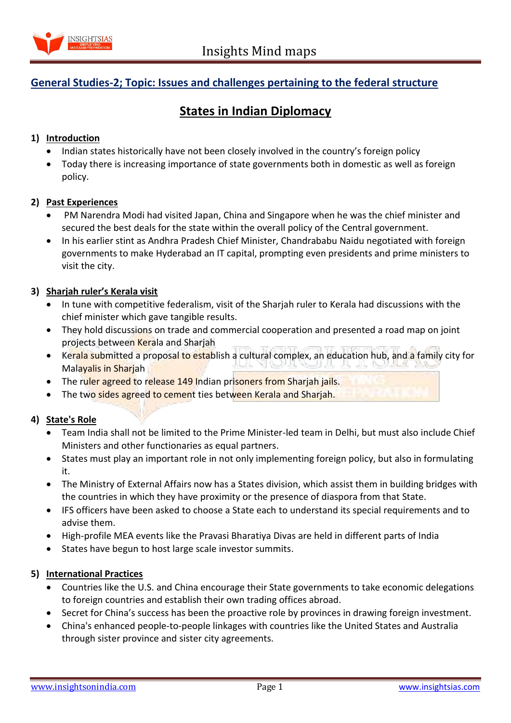

# **General Studies-2; Topic: Issues and challenges pertaining to the federal structure**

# **States in Indian Diplomacy**

# **1) Introduction**

- Indian states historically have not been closely involved in the country's foreign policy
- Today there is increasing importance of state governments both in domestic as well as foreign policy.

### **2) Past Experiences**

- PM Narendra Modi had visited Japan, China and Singapore when he was the chief minister and secured the best deals for the state within the overall policy of the Central government.
- In his earlier stint as Andhra Pradesh Chief Minister, Chandrababu Naidu negotiated with foreign governments to make Hyderabad an IT capital, prompting even presidents and prime ministers to visit the city.

### **3) Sharjah ruler's Kerala visit**

- In tune with competitive federalism, visit of the Sharjah ruler to Kerala had discussions with the chief minister which gave tangible results.
- They hold discussions on trade and commercial cooperation and presented a road map on joint projects between Kerala and Sharjah
- **EXECT** Kerala submitted a proposal to establish a cultural complex, an education hub, and a family city for Malayalis in Sharjah
- The ruler agreed to release 149 Indian prisoners from Sharjah jails.
- The two sides agreed to cement ties between Kerala and Sharjah.

# **4) State's Role**

- Team India shall not be limited to the Prime Minister-led team in Delhi, but must also include Chief Ministers and other functionaries as equal partners.
- States must play an important role in not only implementing foreign policy, but also in formulating it.
- The Ministry of External Affairs now has a States division, which assist them in building bridges with the countries in which they have proximity or the presence of diaspora from that State.
- IFS officers have been asked to choose a State each to understand its special requirements and to advise them.
- High-profile MEA events like the Pravasi Bharatiya Divas are held in different parts of India
- States have begun to host large scale investor summits.

# **5) International Practices**

- Countries like the U.S. and China encourage their State governments to take economic delegations to foreign countries and establish their own trading offices abroad.
- Secret for China's success has been the proactive role by provinces in drawing foreign investment.
- China's enhanced people-to-people linkages with countries like the United States and Australia through sister province and sister city agreements.